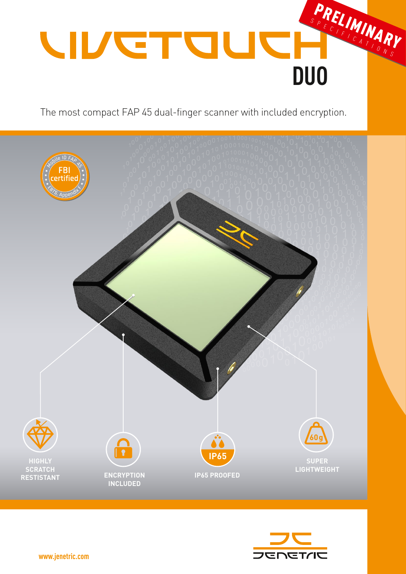

The most compact FAP 45 dual-finger scanner with included encryption.